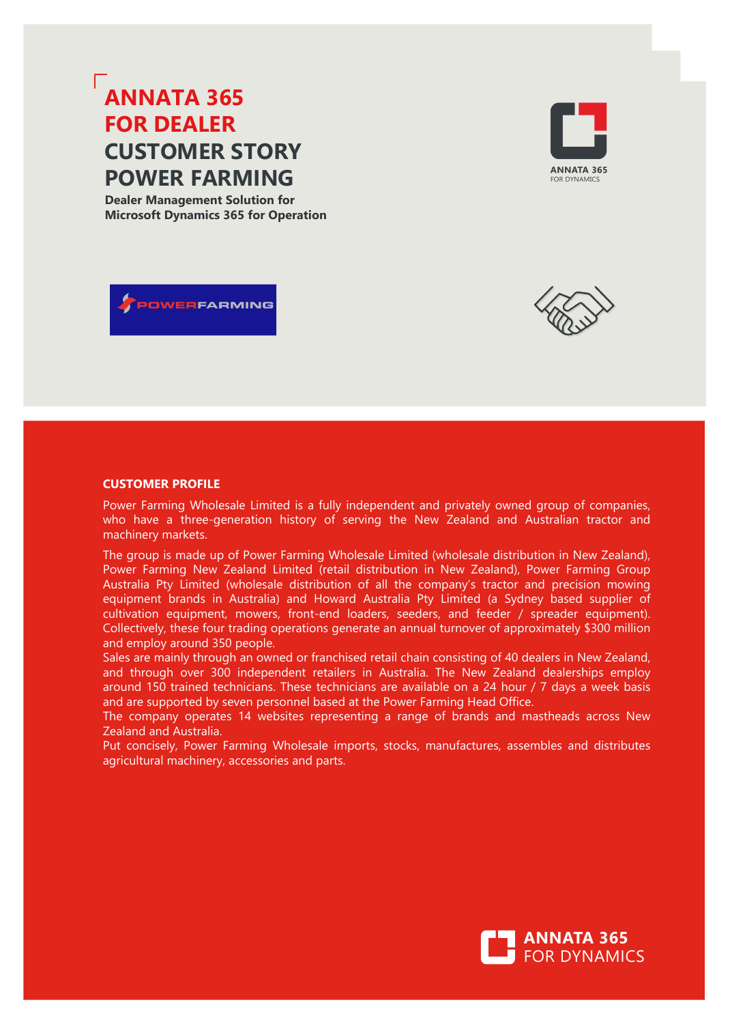# **ANNATA 365 FOR DEALER CUSTOMER STORY POWER FARMING**

**Dealer Management Solution for Microsoft Dynamics 365 for Operation**

POWERFARMING





## **CUSTOMER PROFILE**

Power Farming Wholesale Limited is a fully independent and privately owned group of companies, who have a three-generation history of serving the New Zealand and Australian tractor and machinery markets.

The group is made up of Power Farming Wholesale Limited (wholesale distribution in New Zealand), Power Farming New Zealand Limited (retail distribution in New Zealand), Power Farming Group Australia Pty Limited (wholesale distribution of all the company's tractor and precision mowing equipment brands in Australia) and Howard Australia Pty Limited (a Sydney based supplier of cultivation equipment, mowers, front-end loaders, seeders, and feeder / spreader equipment). Collectively, these four trading operations generate an annual turnover of approximately \$300 million and employ around 350 people.

Sales are mainly through an owned or franchised retail chain consisting of 40 dealers in New Zealand, and through over 300 independent retailers in Australia. The New Zealand dealerships employ around 150 trained technicians. These technicians are available on a 24 hour / 7 days a week basis and are supported by seven personnel based at the Power Farming Head Office.

The company operates 14 websites representing a range of brands and mastheads across New Zealand and Australia.

Put concisely, Power Farming Wholesale imports, stocks, manufactures, assembles and distributes agricultural machinery, accessories and parts.

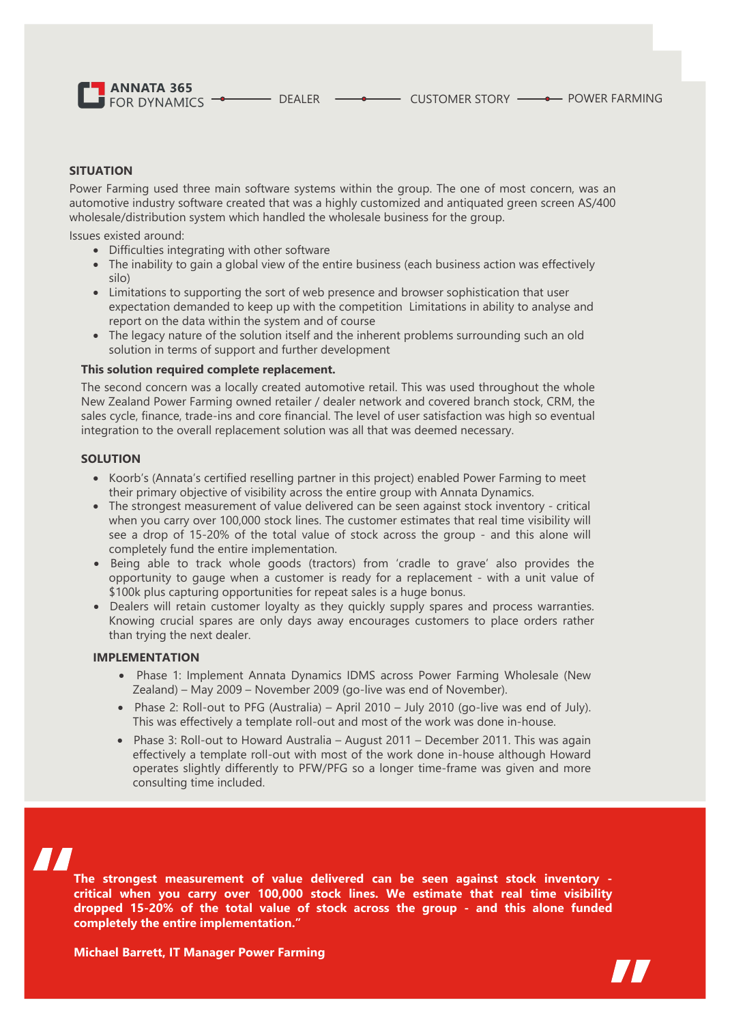**ANNATA 365**  $\overline{\phantom{a}}$  FOR DYNAMICS  $\overline{\phantom{a}}$ 

## **SITUATION**

Power Farming used three main software systems within the group. The one of most concern, was an automotive industry software created that was a highly customized and antiquated green screen AS/400 wholesale/distribution system which handled the wholesale business for the group.

Issues existed around:

- Difficulties integrating with other software
- The inability to gain a global view of the entire business (each business action was effectively silo)
- Limitations to supporting the sort of web presence and browser sophistication that user expectation demanded to keep up with the competition Limitations in ability to analyse and report on the data within the system and of course
- The legacy nature of the solution itself and the inherent problems surrounding such an old solution in terms of support and further development

#### **This solution required complete replacement.**

The second concern was a locally created automotive retail. This was used throughout the whole New Zealand Power Farming owned retailer / dealer network and covered branch stock, CRM, the sales cycle, finance, trade-ins and core financial. The level of user satisfaction was high so eventual integration to the overall replacement solution was all that was deemed necessary.

#### **SOLUTION**

- Koorb's (Annata's certified reselling partner in this project) enabled Power Farming to meet their primary objective of visibility across the entire group with Annata Dynamics.
- The strongest measurement of value delivered can be seen against stock inventory critical when you carry over 100,000 stock lines. The customer estimates that real time visibility will see a drop of 15-20% of the total value of stock across the group - and this alone will completely fund the entire implementation.
- Being able to track whole goods (tractors) from 'cradle to grave' also provides the opportunity to gauge when a customer is ready for a replacement - with a unit value of \$100k plus capturing opportunities for repeat sales is a huge bonus.
- Dealers will retain customer loyalty as they quickly supply spares and process warranties. Knowing crucial spares are only days away encourages customers to place orders rather than trying the next dealer.

#### **IMPLEMENTATION**

- Phase 1: Implement Annata Dynamics IDMS across Power Farming Wholesale (New Zealand) – May 2009 – November 2009 (go-live was end of November).
- Phase 2: Roll-out to PFG (Australia) April 2010 July 2010 (go-live was end of July). This was effectively a template roll-out and most of the work was done in-house.
- Phase 3: Roll-out to Howard Australia August 2011 December 2011. This was again effectively a template roll-out with most of the work done in-house although Howard operates slightly differently to PFW/PFG so a longer time-frame was given and more consulting time included.



**The strongest measurement of value delivered can be seen against stock inventory critical when you carry over 100,000 stock lines. We estimate that real time visibility dropped 15-20% of the total value of stock across the group - and this alone funded completely the entire implementation."**

**Michael Barrett, IT Manager Power Farming**